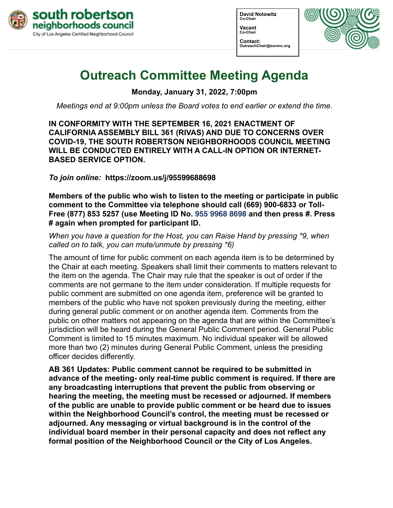

**David Notowitz Co-Chair Vacant Co-Chair Contact: OutreachChair@soronc.org**



# **Outreach Committee Meeting Agenda**

**Monday, January 31, 2022, 7:00pm**

*Meetings end at 9:00pm unless the Board votes to end earlier or extend the time.*

**IN CONFORMITY WITH THE SEPTEMBER 16, 2021 ENACTMENT OF CALIFORNIA ASSEMBLY BILL 361 (RIVAS) AND DUE TO CONCERNS OVER COVID-19, THE SOUTH ROBERTSON NEIGHBORHOODS COUNCIL MEETING WILL BE CONDUCTED ENTIRELY WITH A CALL-IN OPTION OR INTERNET-BASED SERVICE OPTION.**

*To join online:* **[https://zoom.us/j/](https://zoom.us/j/95599688698%2520)95599688698** 

**Members of the public who wish to listen to the meeting or participate in public comment to the Committee via telephone should call (669) 900-6833 or Toll-Free (877) 853 5257 (use Meeting ID No. 955 9968 8698 and then press #. Press # again when prompted for participant ID.** 

*When you have a question for the Host, you can Raise Hand by pressing \*9, when called on to talk, you can mute/unmute by pressing \*6)* 

The amount of time for public comment on each agenda item is to be determined by the Chair at each meeting. Speakers shall limit their comments to matters relevant to the item on the agenda. The Chair may rule that the speaker is out of order if the comments are not germane to the item under consideration. If multiple requests for public comment are submitted on one agenda item, preference will be granted to members of the public who have not spoken previously during the meeting, either during general public comment or on another agenda item. Comments from the public on other matters not appearing on the agenda that are within the Committee's jurisdiction will be heard during the General Public Comment period. General Public Comment is limited to 15 minutes maximum. No individual speaker will be allowed more than two (2) minutes during General Public Comment, unless the presiding officer decides differently.

**AB 361 Updates: Public comment cannot be required to be submitted in advance of the meeting- only real-time public comment is required. If there are any broadcasting interruptions that prevent the public from observing or hearing the meeting, the meeting must be recessed or adjourned. If members of the public are unable to provide public comment or be heard due to issues within the Neighborhood Council's control, the meeting must be recessed or adjourned. Any messaging or virtual background is in the control of the individual board member in their personal capacity and does not reflect any formal position of the Neighborhood Council or the City of Los Angeles.**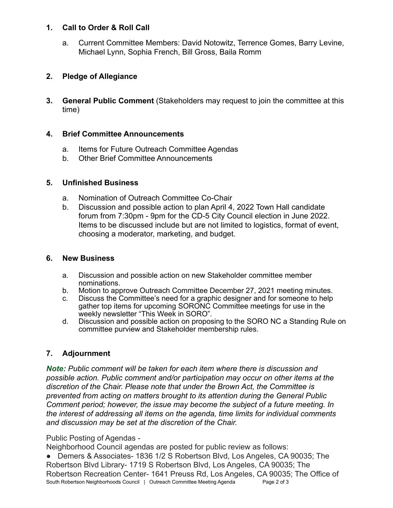### **1. Call to Order & Roll Call**

a. Current Committee Members: David Notowitz, Terrence Gomes, Barry Levine, Michael Lynn, Sophia French, Bill Gross, Baila Romm

## **2. Pledge of Allegiance**

**3. General Public Comment** (Stakeholders may request to join the committee at this time)

### **4. Brief Committee Announcements**

- a. Items for Future Outreach Committee Agendas
- b. Other Brief Committee Announcements

### **5. Unfinished Business**

- a. Nomination of Outreach Committee Co-Chair
- b. Discussion and possible action to plan April 4, 2022 Town Hall candidate forum from 7:30pm - 9pm for the CD-5 City Council election in June 2022. Items to be discussed include but are not limited to logistics, format of event, choosing a moderator, marketing, and budget.

#### **6. New Business**

- a. Discussion and possible action on new Stakeholder committee member nominations.
- b. Motion to approve Outreach Committee December 27, 2021 meeting minutes.
- c. Discuss the Committee's need for a graphic designer and for someone to help gather top items for upcoming SORONC Committee meetings for use in the weekly newsletter "This Week in SORO".
- d. Discussion and possible action on proposing to the SORO NC a Standing Rule on committee purview and Stakeholder membership rules.

## **7. Adjournment**

*Note: Public comment will be taken for each item where there is discussion and possible action. Public comment and/or participation may occur on other items at the discretion of the Chair. Please note that under the Brown Act, the Committee is prevented from acting on matters brought to its attention during the General Public Comment period; however, the issue may become the subject of a future meeting. In the interest of addressing all items on the agenda, time limits for individual comments and discussion may be set at the discretion of the Chair.*

# Public Posting of Agendas -

Neighborhood Council agendas are posted for public review as follows:

● Demers & Associates- 1836 1/2 S Robertson Blvd, Los Angeles, CA 90035; The Robertson Blvd Library- 1719 S Robertson Blvd, Los Angeles, CA 90035; The Robertson Recreation Center- 1641 Preuss Rd, Los Angeles, CA 90035; The Office of South Robertson Neighborhoods Council | Outreach Committee Meeting Agenda Page 2 of 3